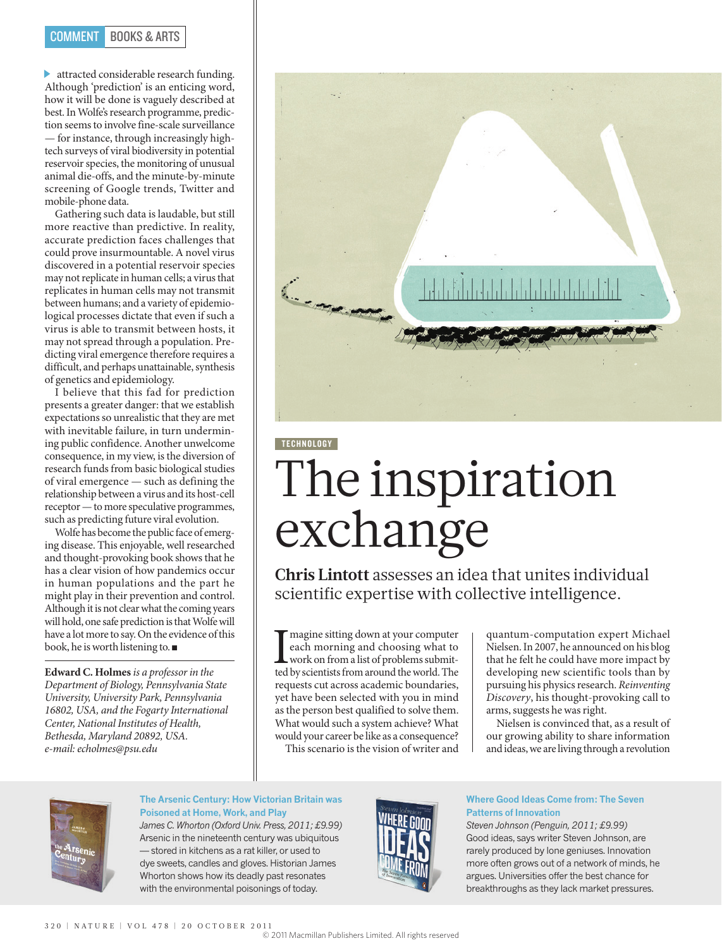## COMMENT BOOKS & ARTS

attracted considerable research funding. Although 'prediction' is an enticing word, how it will be done is vaguely described at best. In Wolfe's research programme, prediction seems to involve fine-scale surveillance — for instance, through increasingly hightech surveys of viral biodiversity in potential reservoir species, the monitoring of unusual animal die-offs, and the minute-by-minute screening of Google trends, Twitter and mobile-phone data.

Gathering such data is laudable, but still more reactive than predictive. In reality, accurate prediction faces challenges that could prove insurmountable. A novel virus discovered in a potential reservoir species may not replicate in human cells; a virus that replicates in human cells may not transmit between humans; and a variety of epidemiological processes dictate that even if such a virus is able to transmit between hosts, it may not spread through a population. Predicting viral emergence therefore requires a difficult, and perhaps unattainable, synthesis of genetics and epidemiology.

I believe that this fad for prediction presents a greater danger: that we establish expectations so unrealistic that they are met with inevitable failure, in turn undermining public confidence. Another unwelcome consequence, in my view, is the diversion of research funds from basic biological studies of viral emergence — such as defining the relationship between a virus and its host-cell receptor — to more speculative programmes, such as predicting future viral evolution.

Wolfe has become the public face of emerging disease. This enjoyable, well researched and thought-provoking book shows that he has a clear vision of how pandemics occur in human populations and the part he might play in their prevention and control. Although it is not clear what the coming years will hold, one safe prediction is that Wolfe will have a lot more to say. On the evidence of this book, he is worth listening to. ■

**Edward C. Holmes** *is a professor in the Department of Biology, Pennsylvania State University, University Park, Pennsylvania 16802, USA, and the Fogarty International Center, National Institutes of Health, Bethesda, Maryland 20892, USA. e-mail: echolmes@psu.edu*



# TECHNOLOGY The inspiration exchange

**Chris Lintott** assesses an idea that unites individual scientific expertise with collective intelligence.

Imagine sitting down at your computer<br>each morning and choosing what to<br>work on from a list of problems submitted by scientists from around the world. The magine sitting down at your computer each morning and choosing what to work on from a list of problems submitrequests cut across academic boundaries, yet have been selected with you in mind as the person best qualified to solve them. What would such a system achieve? What would your career be like as a consequence?

This scenario is the vision of writer and

quantum-computation expert Michael Nielsen. In 2007, he announced on his blog that he felt he could have more impact by developing new scientific tools than by pursuing his physics research. *Reinventing Discovery*, his thought-provoking call to arms, suggests he was right.

Nielsen is convinced that, as a result of our growing ability to share information and ideas, we are living through a revolution



## **The Arsenic Century: How Victorian Britain was Poisoned at Home, Work, and Play**

*James C. Whorton (Oxford Univ. Press, 2011; £9.99)*  Arsenic in the nineteenth century was ubiquitous — stored in kitchens as a rat killer, or used to dye sweets, candles and gloves. Historian James Whorton shows how its deadly past resonates with the environmental poisonings of today.



### **Where Good Ideas Come from: The Seven Patterns of Innovation**

*Steven Johnson (Penguin, 2011; £9.99)* Good ideas, says writer Steven Johnson, are rarely produced by lone geniuses. Innovation more often grows out of a network of minds, he argues. Universities offer the best chance for breakthroughs as they lack market pressures.